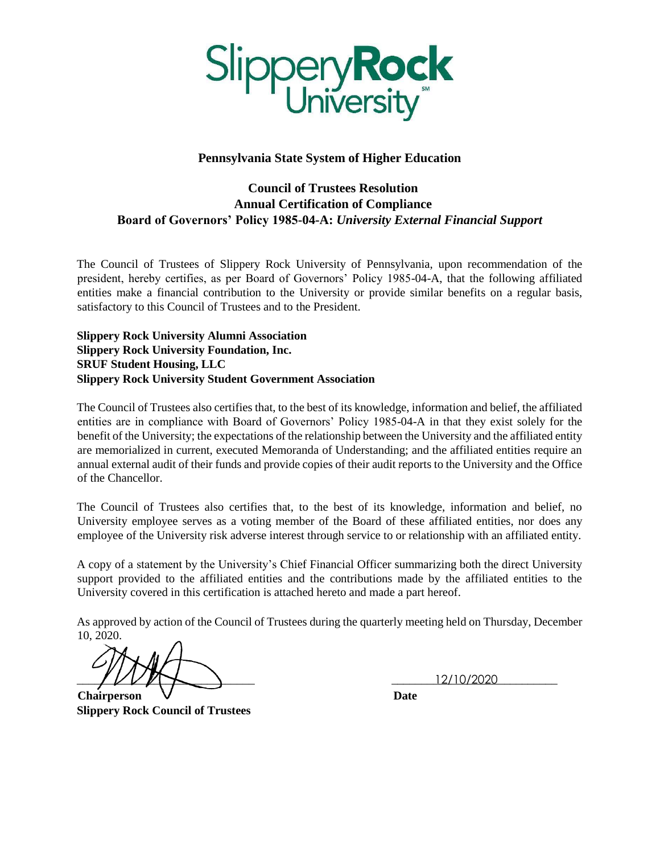

### **Pennsylvania State System of Higher Education**

## **Council of Trustees Resolution Annual Certification of Compliance Board of Governors' Policy 1985-04-A:** *University External Financial Support*

The Council of Trustees of Slippery Rock University of Pennsylvania, upon recommendation of the president, hereby certifies, as per Board of Governors' Policy 1985-04-A, that the following affiliated entities make a financial contribution to the University or provide similar benefits on a regular basis, satisfactory to this Council of Trustees and to the President.

**Slippery Rock University Alumni Association Slippery Rock University Foundation, Inc. SRUF Student Housing, LLC Slippery Rock University Student Government Association**

The Council of Trustees also certifies that, to the best of its knowledge, information and belief, the affiliated entities are in compliance with Board of Governors' Policy 1985-04-A in that they exist solely for the benefit of the University; the expectations of the relationship between the University and the affiliated entity are memorialized in current, executed Memoranda of Understanding; and the affiliated entities require an annual external audit of their funds and provide copies of their audit reports to the University and the Office of the Chancellor.

The Council of Trustees also certifies that, to the best of its knowledge, information and belief, no University employee serves as a voting member of the Board of these affiliated entities, nor does any employee of the University risk adverse interest through service to or relationship with an affiliated entity.

A copy of a statement by the University's Chief Financial Officer summarizing both the direct University support provided to the affiliated entities and the contributions made by the affiliated entities to the University covered in this certification is attached hereto and made a part hereof.

As approved by action of the Council of Trustees during the quarterly meeting held on Thursday, December 10, 2020.

 $12/10/2020$ 

**Chairperson Date Slippery Rock Council of Trustees**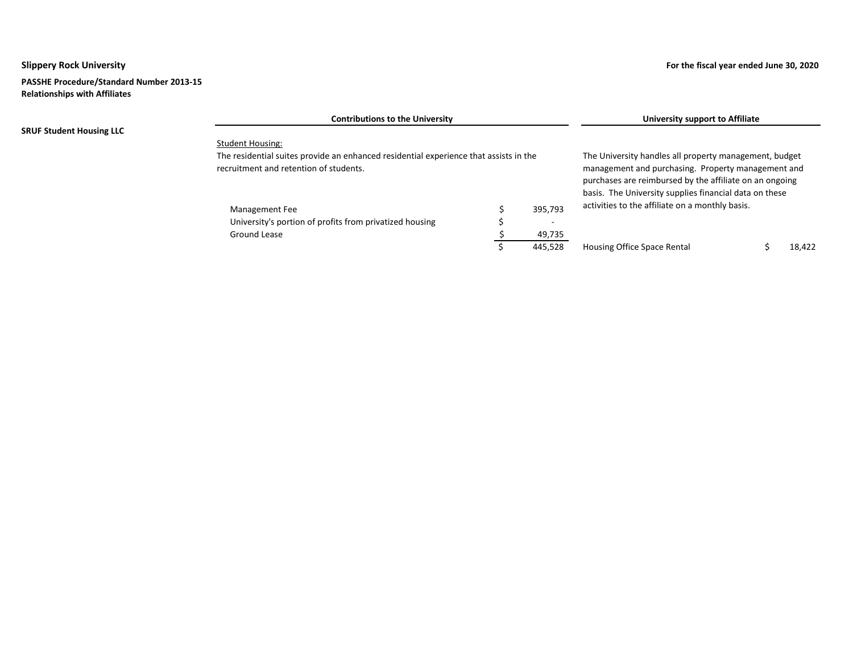**PASSHE Procedure/Standard Number 2013-15 Relationships with Affiliates**

| <b>SRUF Student Housing LLC</b> | <b>Contributions to the University</b>                                                                                                                     |  |                                                          | University support to Affiliate                                                                                                                                                                                                   |  |        |
|---------------------------------|------------------------------------------------------------------------------------------------------------------------------------------------------------|--|----------------------------------------------------------|-----------------------------------------------------------------------------------------------------------------------------------------------------------------------------------------------------------------------------------|--|--------|
|                                 | <b>Student Housing:</b><br>The residential suites provide an enhanced residential experience that assists in the<br>recruitment and retention of students. |  |                                                          | The University handles all property management, budget<br>management and purchasing. Property management and<br>purchases are reimbursed by the affiliate on an ongoing<br>basis. The University supplies financial data on these |  |        |
|                                 | Management Fee<br>University's portion of profits from privatized housing<br>Ground Lease                                                                  |  | 395,793<br>$\overline{\phantom{0}}$<br>49,735<br>445,528 | activities to the affiliate on a monthly basis.<br>Housing Office Space Rental                                                                                                                                                    |  | 18,422 |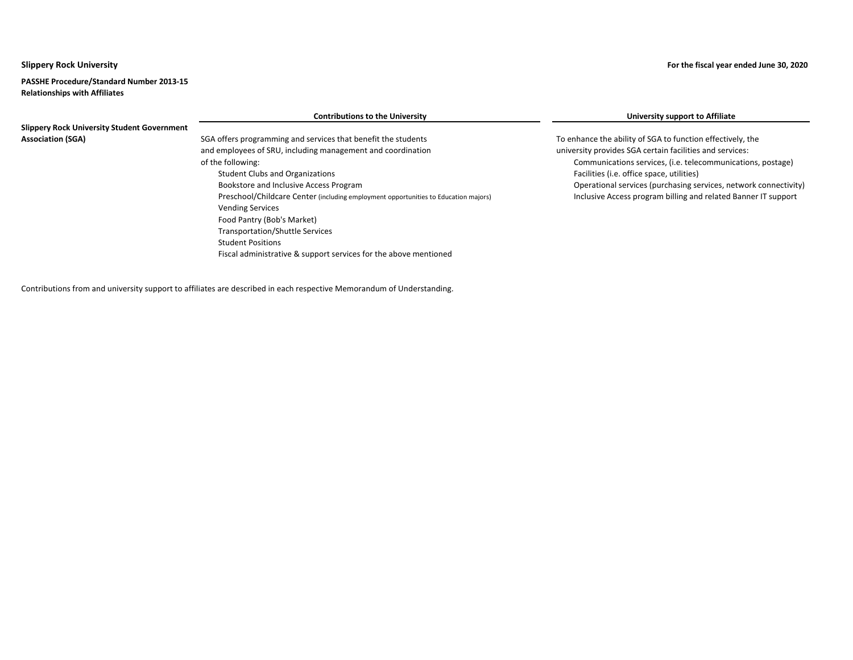**PASSHE Procedure/Standard Number 2013-15 Relationships with Affiliates**

|                                                    | <b>Contributions to the University</b>                                              | University support to Affiliate                                  |
|----------------------------------------------------|-------------------------------------------------------------------------------------|------------------------------------------------------------------|
| <b>Slippery Rock University Student Government</b> |                                                                                     |                                                                  |
| <b>Association (SGA)</b>                           | SGA offers programming and services that benefit the students                       | To enhance the ability of SGA to function effectively, the       |
|                                                    | and employees of SRU, including management and coordination                         | university provides SGA certain facilities and services:         |
|                                                    | of the following:                                                                   | Communications services, (i.e. telecommunications, postage)      |
|                                                    | <b>Student Clubs and Organizations</b>                                              | Facilities (i.e. office space, utilities)                        |
|                                                    | Bookstore and Inclusive Access Program                                              | Operational services (purchasing services, network connectivity) |
|                                                    | Preschool/Childcare Center (including employment opportunities to Education majors) | Inclusive Access program billing and related Banner IT support   |
|                                                    | <b>Vending Services</b>                                                             |                                                                  |
|                                                    | Food Pantry (Bob's Market)                                                          |                                                                  |
|                                                    | <b>Transportation/Shuttle Services</b>                                              |                                                                  |
|                                                    | <b>Student Positions</b>                                                            |                                                                  |
|                                                    | Fiscal administrative & support services for the above mentioned                    |                                                                  |

Contributions from and university support to affiliates are described in each respective Memorandum of Understanding.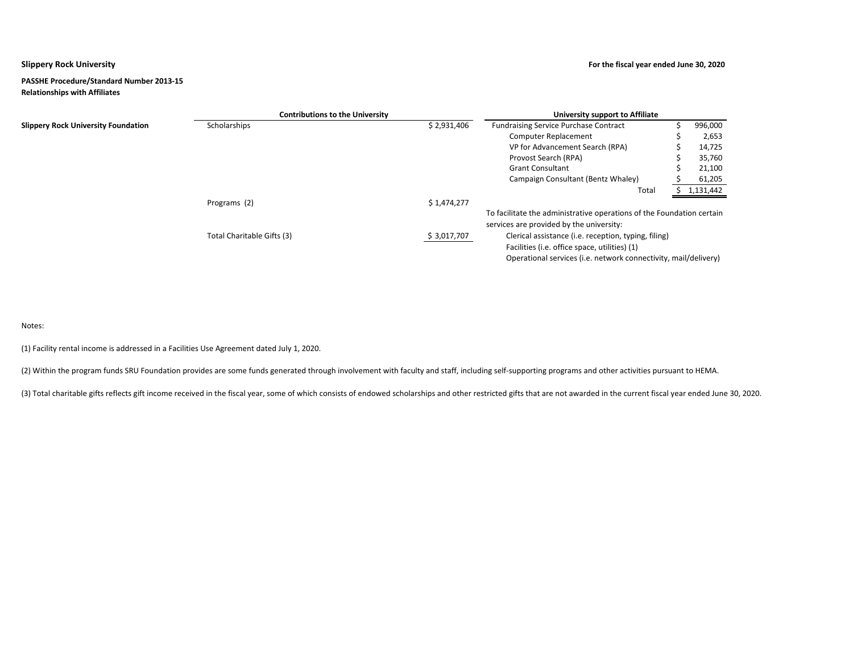## **PASSHE Procedure/Standard Number 2013-15 Relationships with Affiliates**

|                                            | <b>Contributions to the University</b> |             | University support to Affiliate                                                                                                                                          |  |           |  |
|--------------------------------------------|----------------------------------------|-------------|--------------------------------------------------------------------------------------------------------------------------------------------------------------------------|--|-----------|--|
| <b>Slippery Rock University Foundation</b> | Scholarships                           | \$2,931,406 | <b>Fundraising Service Purchase Contract</b>                                                                                                                             |  | 996,000   |  |
|                                            |                                        |             | <b>Computer Replacement</b>                                                                                                                                              |  | 2,653     |  |
|                                            |                                        |             | VP for Advancement Search (RPA)                                                                                                                                          |  | 14,725    |  |
|                                            |                                        |             | Provost Search (RPA)                                                                                                                                                     |  | 35,760    |  |
|                                            |                                        |             | <b>Grant Consultant</b>                                                                                                                                                  |  | 21,100    |  |
|                                            |                                        |             | Campaign Consultant (Bentz Whaley)                                                                                                                                       |  | 61,205    |  |
|                                            |                                        |             | Total                                                                                                                                                                    |  | 1,131,442 |  |
|                                            | Programs (2)                           | \$1,474,277 |                                                                                                                                                                          |  |           |  |
|                                            |                                        |             | To facilitate the administrative operations of the Foundation certain<br>services are provided by the university:                                                        |  |           |  |
|                                            | Total Charitable Gifts (3)             | \$3,017,707 | Clerical assistance (i.e. reception, typing, filing)<br>Facilities (i.e. office space, utilities) (1)<br>Operational services (i.e. network connectivity, mail/delivery) |  |           |  |

Notes:

(1) Facility rental income is addressed in a Facilities Use Agreement dated July 1, 2020.

(2) Within the program funds SRU Foundation provides are some funds generated through involvement with faculty and staff, including self-supporting programs and other activities pursuant to HEMA.

(3) Total charitable gifts reflects gift income received in the fiscal year, some of which consists of endowed scholarships and other restricted gifts that are not awarded in the current fiscal year ended June 30, 2020.